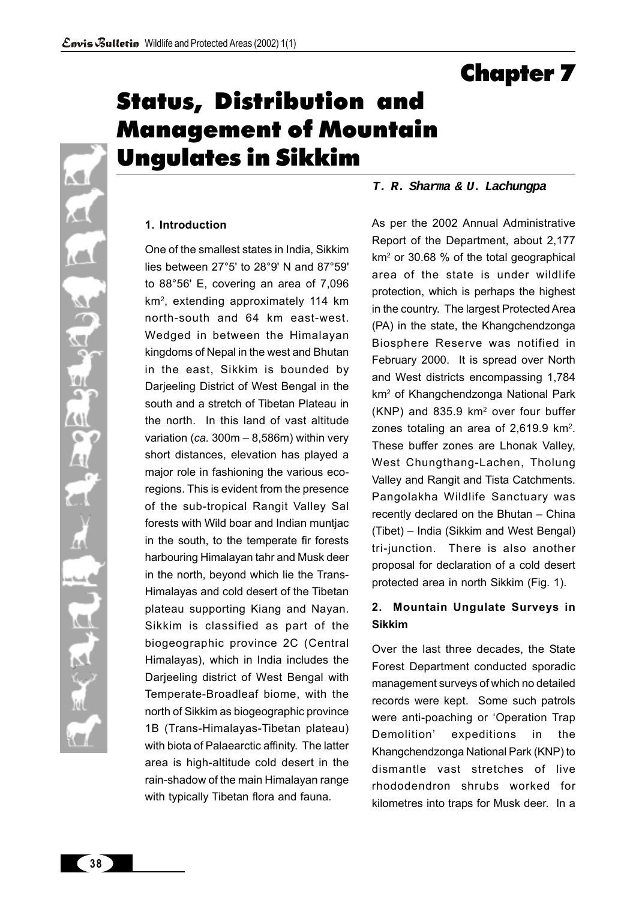Chapter 7

# Status, Distribution and Management of Mountain Ungulates in Sikkim

# **1. Introduction**

 $\sim$ 

iC.

йÒа

**ZAN** G

Δł

kα

One of the smallest states in India, Sikkim lies between 27°5' to 28°9' N and 87°59' to 88°56' E, covering an area of 7,096 km2, extending approximately 114 km north-south and 64 km east-west. Wedged in between the Himalayan kingdoms of Nepal in the west and Bhutan in the east, Sikkim is bounded by Darjeeling District of West Bengal in the south and a stretch of Tibetan Plateau in the north. In this land of vast altitude variation (*ca.* 300m – 8,586m) within very short distances, elevation has played a major role in fashioning the various ecoregions. This is evident from the presence of the sub-tropical Rangit Valley Sal forests with Wild boar and Indian muntjac in the south, to the temperate fir forests harbouring Himalayan tahr and Musk deer in the north, beyond which lie the Trans-Himalayas and cold desert of the Tibetan plateau supporting Kiang and Nayan. Sikkim is classified as part of the biogeographic province 2C (Central Himalayas), which in India includes the Darjeeling district of West Bengal with Temperate-Broadleaf biome, with the north of Sikkim as biogeographic province 1B (Trans-Himalayas-Tibetan plateau) with biota of Palaearctic affinity. The latter area is high-altitude cold desert in the rain-shadow of the main Himalayan range with typically Tibetan flora and fauna.

### *T. R. Sharma & U. Lachungpa*

As per the 2002 Annual Administrative Report of the Department, about 2,177 km2 or 30.68 % of the total geographical area of the state is under wildlife protection, which is perhaps the highest in the country. The largest Protected Area (PA) in the state, the Khangchendzonga Biosphere Reserve was notified in February 2000. It is spread over North and West districts encompassing 1,784 km2 of Khangchendzonga National Park (KNP) and 835.9 km2 over four buffer zones totaling an area of 2,619.9 km<sup>2</sup>. These buffer zones are Lhonak Valley, West Chungthang-Lachen, Tholung Valley and Rangit and Tista Catchments. Pangolakha Wildlife Sanctuary was recently declared on the Bhutan – China (Tibet) – India (Sikkim and West Bengal) tri-junction. There is also another proposal for declaration of a cold desert protected area in north Sikkim (Fig. 1).

# **2. Mountain Ungulate Surveys in Sikkim**

Over the last three decades, the State Forest Department conducted sporadic management surveys of which no detailed records were kept. Some such patrols were anti-poaching or 'Operation Trap Demolition' expeditions in the Khangchendzonga National Park (KNP) to dismantle vast stretches of live rhododendron shrubs worked for kilometres into traps for Musk deer. In a

**38**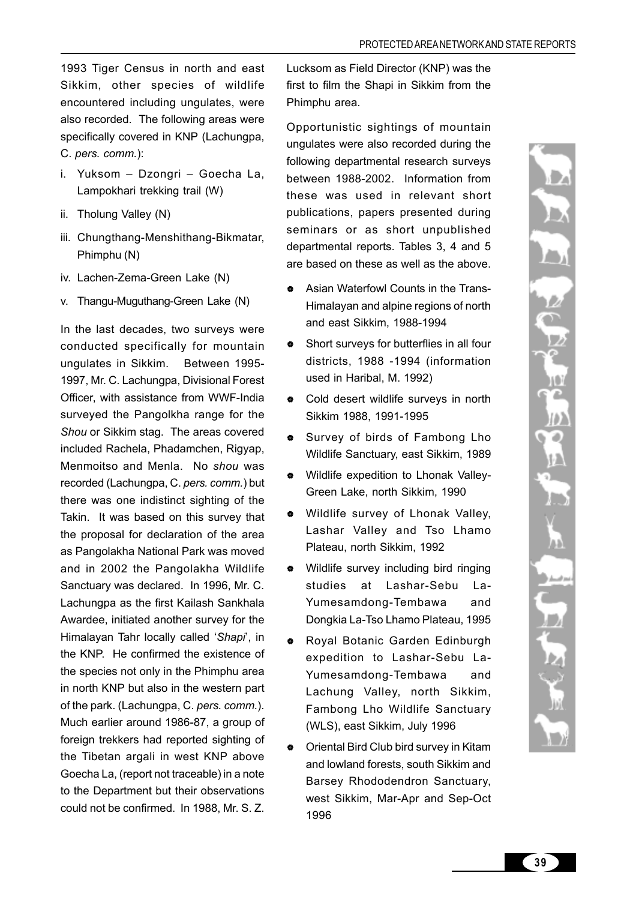1993 Tiger Census in north and east Sikkim, other species of wildlife encountered including ungulates, were also recorded. The following areas were specifically covered in KNP (Lachungpa, C. *pers. comm.*):

- i. Yuksom Dzongri Goecha La, Lampokhari trekking trail (W)
- ii. Tholung Valley (N)
- iii. Chungthang-Menshithang-Bikmatar, Phimphu (N)
- iv. Lachen-Zema-Green Lake (N)
- v. Thangu-Muguthang-Green Lake (N)

In the last decades, two surveys were conducted specifically for mountain ungulates in Sikkim. Between 1995- 1997, Mr. C. Lachungpa, Divisional Forest Officer, with assistance from WWF-India surveyed the Pangolkha range for the *Shou* or Sikkim stag. The areas covered included Rachela, Phadamchen, Rigyap, Menmoitso and Menla. No *shou* was recorded (Lachungpa, C. *pers. comm.*) but there was one indistinct sighting of the Takin. It was based on this survey that the proposal for declaration of the area as Pangolakha National Park was moved and in 2002 the Pangolakha Wildlife Sanctuary was declared. In 1996, Mr. C. Lachungpa as the first Kailash Sankhala Awardee, initiated another survey for the Himalayan Tahr locally called '*Shapi*', in the KNP. He confirmed the existence of the species not only in the Phimphu area in north KNP but also in the western part of the park. (Lachungpa, C. *pers. comm.*). Much earlier around 1986-87, a group of foreign trekkers had reported sighting of the Tibetan argali in west KNP above Goecha La, (report not traceable) in a note to the Department but their observations could not be confirmed. In 1988, Mr. S. Z.

Lucksom as Field Director (KNP) was the first to film the Shapi in Sikkim from the Phimphu area.

Opportunistic sightings of mountain ungulates were also recorded during the following departmental research surveys between 1988-2002. Information from these was used in relevant short publications, papers presented during seminars or as short unpublished departmental reports. Tables 3, 4 and 5 are based on these as well as the above.

- Asian Waterfowl Counts in the Trans-Himalayan and alpine regions of north and east Sikkim, 1988-1994
- Short surveys for butterflies in all four districts, 1988 -1994 (information used in Haribal, M. 1992)
- Cold desert wildlife surveys in north Sikkim 1988, 1991-1995
- Survey of birds of Fambong Lho Wildlife Sanctuary, east Sikkim, 1989
- $\bullet$  Wildlife expedition to Lhonak Valley-Green Lake, north Sikkim, 1990
- Wildlife survey of Lhonak Valley. Lashar Valley and Tso Lhamo Plateau, north Sikkim, 1992
- Wildlife survey including bird ringing studies at Lashar-Sebu La-Yumesamdong-Tembawa and Dongkia La-Tso Lhamo Plateau, 1995
- \* Royal Botanic Garden Edinburgh expedition to Lashar-Sebu La-Yumesamdong-Tembawa and Lachung Valley, north Sikkim, Fambong Lho Wildlife Sanctuary (WLS), east Sikkim, July 1996
- Oriental Bird Club bird survey in Kitam and lowland forests, south Sikkim and Barsey Rhododendron Sanctuary, west Sikkim, Mar-Apr and Sep-Oct 1996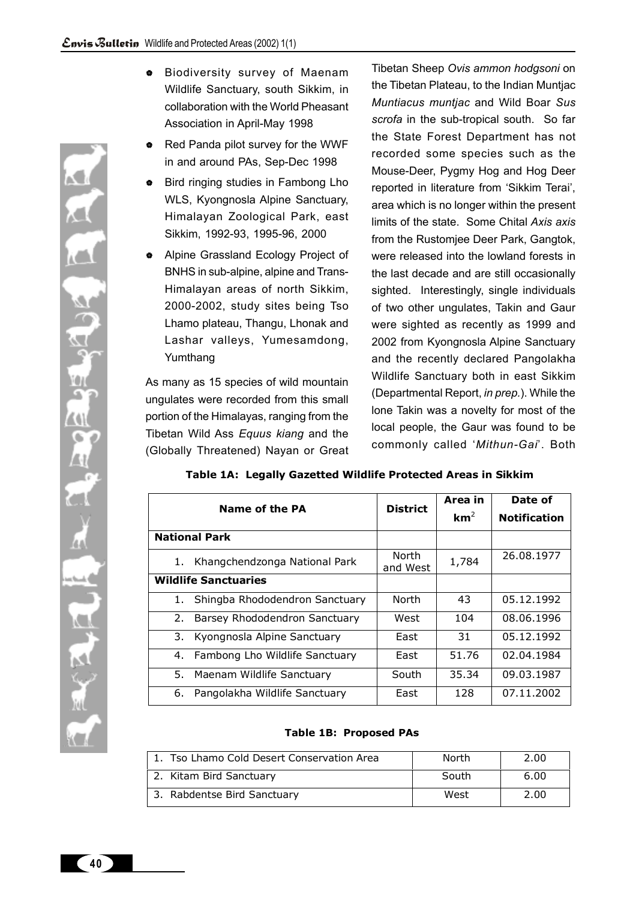- **Biodiversity survey of Maenam** Wildlife Sanctuary, south Sikkim, in collaboration with the World Pheasant Association in April-May 1998
- Red Panda pilot survey for the WWF in and around PAs, Sep-Dec 1998
- ♦ Bird ringing studies in Fambong Lho WLS, Kyongnosla Alpine Sanctuary, Himalayan Zoological Park, east Sikkim, 1992-93, 1995-96, 2000
- Alpine Grassland Ecology Project of BNHS in sub-alpine, alpine and Trans-Himalayan areas of north Sikkim, 2000-2002, study sites being Tso Lhamo plateau, Thangu, Lhonak and Lashar valleys, Yumesamdong, Yumthang

As many as 15 species of wild mountain ungulates were recorded from this small portion of the Himalayas, ranging from the Tibetan Wild Ass *Equus kiang* and the (Globally Threatened) Nayan or Great Tibetan Sheep *Ovis ammon hodgsoni* on the Tibetan Plateau, to the Indian Muntjac *Muntiacus muntjac* and Wild Boar *Sus scrofa* in the sub-tropical south. So far the State Forest Department has not recorded some species such as the Mouse-Deer, Pygmy Hog and Hog Deer reported in literature from 'Sikkim Terai', area which is no longer within the present limits of the state. Some Chital *Axis axis* from the Rustomjee Deer Park, Gangtok, were released into the lowland forests in the last decade and are still occasionally sighted. Interestingly, single individuals of two other ungulates, Takin and Gaur were sighted as recently as 1999 and 2002 from Kyongnosla Alpine Sanctuary and the recently declared Pangolakha Wildlife Sanctuary both in east Sikkim (Departmental Report, *in prep.*). While the lone Takin was a novelty for most of the local people, the Gaur was found to be commonly called '*Mithun-Gai*'. Both

| Name of the PA                       | <b>District</b>   | Area in         | Date of             |  |
|--------------------------------------|-------------------|-----------------|---------------------|--|
|                                      |                   | km <sup>2</sup> | <b>Notification</b> |  |
| <b>National Park</b>                 |                   |                 |                     |  |
| Khangchendzonga National Park<br>1.  | North<br>and West | 1,784           | 26.08.1977          |  |
| <b>Wildlife Sanctuaries</b>          |                   |                 |                     |  |
| Shingba Rhododendron Sanctuary<br>1. | North             | 43              | 05.12.1992          |  |
| Barsey Rhododendron Sanctuary<br>2.  | West              | 104             | 08.06.1996          |  |
| Kyongnosla Alpine Sanctuary<br>3.    | Fast              | 31              | 05.12.1992          |  |
| Fambong Lho Wildlife Sanctuary<br>4. | Fast              | 51.76           | 02.04.1984          |  |
| 5. Maenam Wildlife Sanctuary         | South             | 35.34           | 09.03.1987          |  |
| Pangolakha Wildlife Sanctuary<br>6.  | East              | 128             | 07.11.2002          |  |

# **Table 1A: Legally Gazetted Wildlife Protected Areas in Sikkim**

#### **Table 1B: Proposed PAs**

| 1. Tso Lhamo Cold Desert Conservation Area | North | 2.00 |
|--------------------------------------------|-------|------|
| 2. Kitam Bird Sanctuary                    | South | 6.00 |
| 3. Rabdentse Bird Sanctuary                | West  | 2.00 |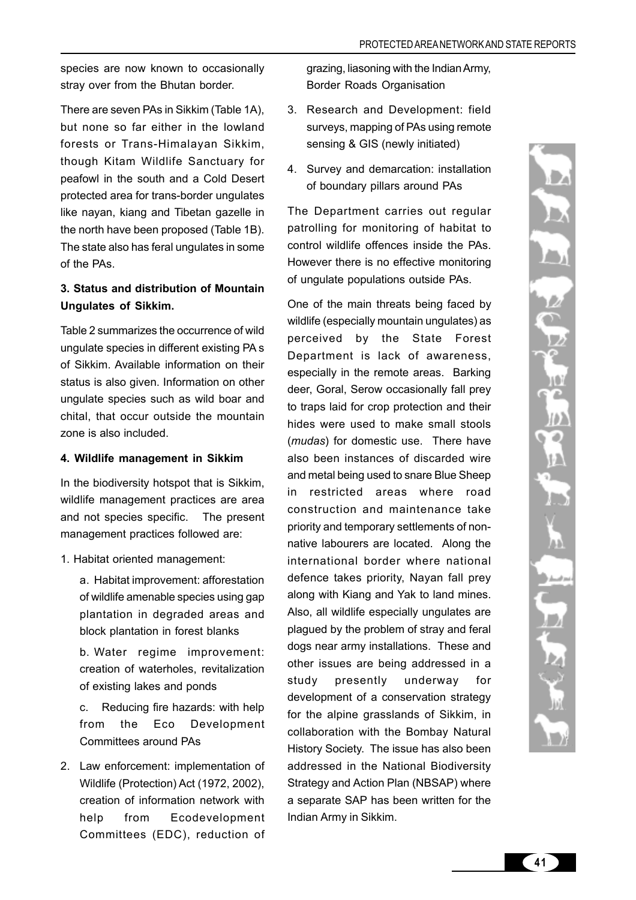species are now known to occasionally stray over from the Bhutan border.

There are seven PAs in Sikkim (Table 1A), but none so far either in the lowland forests or Trans-Himalayan Sikkim, though Kitam Wildlife Sanctuary for peafowl in the south and a Cold Desert protected area for trans-border ungulates like nayan, kiang and Tibetan gazelle in the north have been proposed (Table 1B). The state also has feral ungulates in some of the PAs.

# **3. Status and distribution of Mountain Ungulates of Sikkim.**

Table 2 summarizes the occurrence of wild ungulate species in different existing PA s of Sikkim. Available information on their status is also given. Information on other ungulate species such as wild boar and chital, that occur outside the mountain zone is also included.

# **4. Wildlife management in Sikkim**

In the biodiversity hotspot that is Sikkim, wildlife management practices are area and not species specific. The present management practices followed are:

1. Habitat oriented management:

a. Habitat improvement: afforestation of wildlife amenable species using gap plantation in degraded areas and block plantation in forest blanks

b. Water regime improvement: creation of waterholes, revitalization of existing lakes and ponds

c. Reducing fire hazards: with help from the Eco Development Committees around PAs

2. Law enforcement: implementation of Wildlife (Protection) Act (1972, 2002), creation of information network with help from Ecodevelopment Committees (EDC), reduction of grazing, liasoning with the Indian Army, Border Roads Organisation

- 3. Research and Development: field surveys, mapping of PAs using remote sensing & GIS (newly initiated)
- 4. Survey and demarcation: installation of boundary pillars around PAs

The Department carries out regular patrolling for monitoring of habitat to control wildlife offences inside the PAs. However there is no effective monitoring of ungulate populations outside PAs.

One of the main threats being faced by wildlife (especially mountain ungulates) as perceived by the State Forest Department is lack of awareness, especially in the remote areas. Barking deer, Goral, Serow occasionally fall prey to traps laid for crop protection and their hides were used to make small stools (*mudas*) for domestic use. There have also been instances of discarded wire and metal being used to snare Blue Sheep in restricted areas where road construction and maintenance take priority and temporary settlements of nonnative labourers are located. Along the international border where national defence takes priority, Nayan fall prey along with Kiang and Yak to land mines. Also, all wildlife especially ungulates are plagued by the problem of stray and feral dogs near army installations. These and other issues are being addressed in a study presently underway for development of a conservation strategy for the alpine grasslands of Sikkim, in collaboration with the Bombay Natural History Society. The issue has also been addressed in the National Biodiversity Strategy and Action Plan (NBSAP) where a separate SAP has been written for the Indian Army in Sikkim.

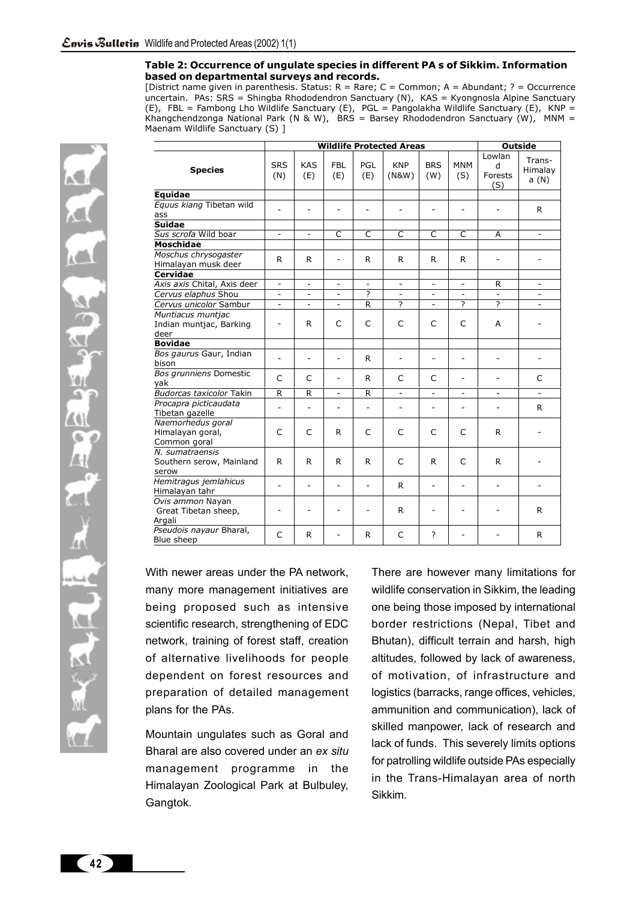#### **Table 2: Occurrence of ungulate species in different PA s of Sikkim. Information based on departmental surveys and records.**

[District name given in parenthesis. Status: R = Rare; C = Common; A = Abundant; ? = Occurrence uncertain. PAs: SRS = Shingba Rhododendron Sanctuary (N), KAS = Kyongnosla Alpine Sanctuary (E), FBL = Fambong Lho Wildlife Sanctuary (E), PGL = Pangolakha Wildlife Sanctuary (E), KNP = Khangchendzonga National Park (N & W), BRS = Barsey Rhododendron Sanctuary (W), MNM = Maenam Wildlife Sanctuary (S) ]

|                                                       | <b>Wildlife Protected Areas</b> |                          |                          |                          |                          | <b>Outside</b>           |                          |                               |                            |
|-------------------------------------------------------|---------------------------------|--------------------------|--------------------------|--------------------------|--------------------------|--------------------------|--------------------------|-------------------------------|----------------------------|
| <b>Species</b>                                        | <b>SRS</b><br>(N)               | <b>KAS</b><br>(E)        | <b>FBL</b><br>(E)        | <b>PGL</b><br>(E)        | <b>KNP</b><br>(N&W)      | <b>BRS</b><br>(W)        | <b>MNM</b><br>(S)        | Lowlan<br>d<br>Forests<br>(S) | Trans-<br>Himalay<br>a (N) |
| Equidae                                               |                                 |                          |                          |                          |                          |                          |                          |                               |                            |
| Equus kiang Tibetan wild<br>ass                       |                                 |                          |                          | $\overline{a}$           |                          |                          | $\overline{a}$           |                               | R.                         |
| <b>Suidae</b>                                         |                                 |                          |                          |                          |                          |                          |                          |                               |                            |
| Sus scrofa Wild boar                                  | $\overline{\phantom{a}}$        | $\overline{\phantom{0}}$ | C                        | $\mathsf{C}$             | $\mathsf{C}$             | $\mathsf{C}$             | C                        | A                             |                            |
| <b>Moschidae</b>                                      |                                 |                          |                          |                          |                          |                          |                          |                               |                            |
| Moschus chrysogaster<br>Himalayan musk deer           | R                               | R                        | $\overline{\phantom{m}}$ | R                        | R                        | R                        | R                        | $\overline{\phantom{a}}$      | $\overline{a}$             |
| <b>Cervidae</b>                                       |                                 |                          |                          |                          |                          |                          |                          |                               |                            |
| Axis axis Chital, Axis deer                           | $\overline{\phantom{a}}$        | $\overline{\phantom{0}}$ | $\overline{\phantom{a}}$ | $\overline{\phantom{a}}$ | $\overline{\phantom{a}}$ | $\overline{\phantom{a}}$ | $\overline{\phantom{0}}$ | R                             | $\overline{\phantom{a}}$   |
| Cervus elaphus Shou                                   |                                 |                          |                          | 2                        |                          |                          |                          |                               |                            |
| Cervus unicolor Sambur                                | $\overline{a}$                  | $\overline{a}$           | $\overline{a}$           | R                        | 2                        | $\overline{a}$           | $\overline{\phantom{a}}$ | 2                             |                            |
| Muntiacus muntjac<br>Indian muntjac, Barking<br>deer  | $\overline{\phantom{a}}$        | R                        | C                        | C                        | C                        | C                        | C                        | A                             |                            |
| <b>Bovidae</b>                                        |                                 |                          |                          |                          |                          |                          |                          |                               |                            |
| Bos gaurus Gaur, Indian<br>bison                      |                                 |                          | $\overline{a}$           | R                        | $\overline{a}$           | $\overline{a}$           | $\overline{\phantom{0}}$ | $\overline{\phantom{0}}$      | $\overline{a}$             |
| Bos grunniens Domestic<br>yak                         | C                               | C                        | $\overline{a}$           | R                        | C                        | C                        | $\overline{\phantom{0}}$ |                               | C                          |
| Budorcas taxicolor Takin                              | R                               | R                        | $\overline{\phantom{a}}$ | R                        | $\overline{\phantom{a}}$ | $\overline{\phantom{a}}$ | $\overline{\phantom{a}}$ | $\overline{\phantom{a}}$      | $\overline{\phantom{a}}$   |
| Procapra picticaudata<br>Tibetan gazelle              |                                 |                          |                          |                          |                          |                          |                          |                               | R.                         |
| Naemorhedus goral<br>Himalayan goral,<br>Common goral | C                               | C                        | R                        | C                        | C                        | C                        | C                        | R.                            |                            |
| N. sumatraensis<br>Southern serow, Mainland<br>serow  | R.                              | R.                       | R                        | R                        | C                        | R                        | C                        | R.                            |                            |
| Hemitragus jemlahicus<br>Himalayan tahr               | $\overline{a}$                  |                          |                          |                          | R                        | $\overline{\phantom{a}}$ | $\overline{\phantom{a}}$ | $\overline{a}$                |                            |
| Ovis ammon Nayan<br>Great Tibetan sheep,<br>Argali    | $\overline{a}$                  |                          |                          | $\overline{\phantom{0}}$ | R                        | $\overline{\phantom{0}}$ |                          |                               | R                          |
| Pseudois nayaur Bharal,<br>Blue sheep                 | C                               | R                        |                          | R                        | C                        | ?                        |                          |                               | R.                         |

With newer areas under the PA network, many more management initiatives are being proposed such as intensive scientific research, strengthening of EDC network, training of forest staff, creation of alternative livelihoods for people dependent on forest resources and preparation of detailed management plans for the PAs.

Mountain ungulates such as Goral and Bharal are also covered under an *ex situ* management programme in the Himalayan Zoological Park at Bulbuley, Gangtok.

There are however many limitations for wildlife conservation in Sikkim, the leading one being those imposed by international border restrictions (Nepal, Tibet and Bhutan), difficult terrain and harsh, high altitudes, followed by lack of awareness, of motivation, of infrastructure and logistics (barracks, range offices, vehicles, ammunition and communication), lack of skilled manpower, lack of research and lack of funds. This severely limits options for patrolling wildlife outside PAs especially in the Trans-Himalayan area of north Sikkim.

**42**